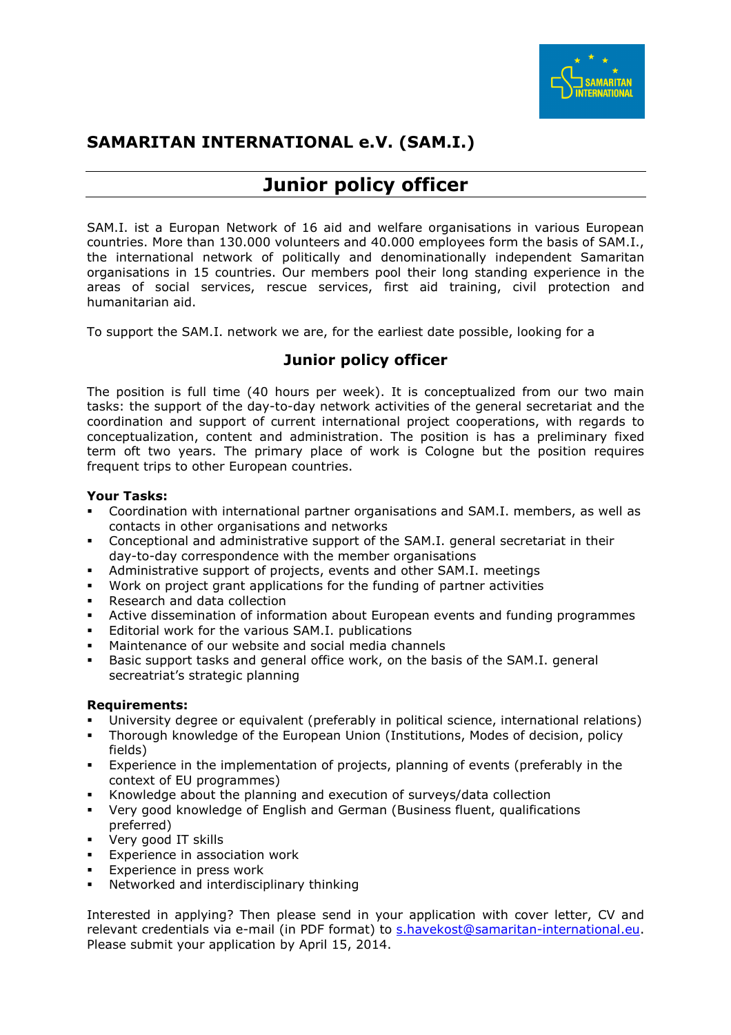

## **SAMARITAN INTERNATIONAL e.V. (SAM.I.)**

# **Junior policy officer**

SAM.I. ist a Europan Network of 16 aid and welfare organisations in various European countries. More than 130.000 volunteers and 40.000 employees form the basis of SAM.I., the international network of politically and denominationally independent Samaritan organisations in 15 countries. Our members pool their long standing experience in the areas of social services, rescue services, first aid training, civil protection and humanitarian aid.

To support the SAM.I. network we are, for the earliest date possible, looking for a

### **Junior policy officer**

The position is full time (40 hours per week). It is conceptualized from our two main tasks: the support of the day-to-day network activities of the general secretariat and the coordination and support of current international project cooperations, with regards to conceptualization, content and administration. The position is has a preliminary fixed term oft two years. The primary place of work is Cologne but the position requires frequent trips to other European countries.

### **Your Tasks:**

- Coordination with international partner organisations and SAM.I. members, as well as contacts in other organisations and networks
- Conceptional and administrative support of the SAM.I. general secretariat in their day-to-day correspondence with the member organisations
- Administrative support of projects, events and other SAM.I. meetings
- Work on project grant applications for the funding of partner activities
- Research and data collection
- Active dissemination of information about European events and funding programmes
- **Editorial work for the various SAM.I. publications**
- Maintenance of our website and social media channels
- Basic support tasks and general office work, on the basis of the SAM.I. general secreatriat's strategic planning

#### **Requirements:**

- University degree or equivalent (preferably in political science, international relations)
- Thorough knowledge of the European Union (Institutions, Modes of decision, policy fields)
- Experience in the implementation of projects, planning of events (preferably in the context of EU programmes)
- Knowledge about the planning and execution of surveys/data collection
- Very good knowledge of English and German (Business fluent, qualifications preferred)
- Very good IT skills
- **Experience in association work**
- Experience in press work
- Networked and interdisciplinary thinking

Interested in applying? Then please send in your application with cover letter, CV and relevant credentials via e-mail (in PDF format) to s.havekost@samaritan-international.eu. Please submit your application by April 15, 2014.